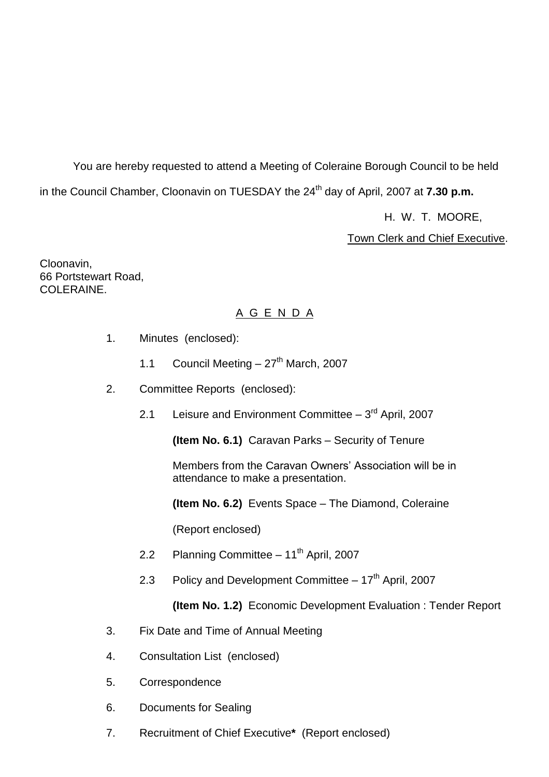You are hereby requested to attend a Meeting of Coleraine Borough Council to be held in the Council Chamber, Cloonavin on TUESDAY the 24<sup>th</sup> day of April, 2007 at **7.30 p.m.** 

H. W. T. MOORE,

Town Clerk and Chief Executive.

Cloonavin, 66 Portstewart Road, COLERAINE.

# A G E N D A

- 1. Minutes (enclosed):
	- 1.1 Council Meeting  $-27<sup>th</sup>$  March, 2007
- 2. Committee Reports (enclosed):
	- 2.1 Leisure and Environment Committee 3<sup>rd</sup> April, 2007

**(Item No. 6.1)** Caravan Parks – Security of Tenure

Members from the Caravan Owners' Association will be in attendance to make a presentation.

**(Item No. 6.2)** Events Space – The Diamond, Coleraine

(Report enclosed)

- 2.2 Planning Committee 11<sup>th</sup> April, 2007
- 2.3 Policy and Development Committee  $-17<sup>th</sup>$  April, 2007

**(Item No. 1.2)** Economic Development Evaluation : Tender Report

- 3. Fix Date and Time of Annual Meeting
- 4. Consultation List (enclosed)
- 5. Correspondence
- 6. Documents for Sealing
- 7. Recruitment of Chief Executive**\*** (Report enclosed)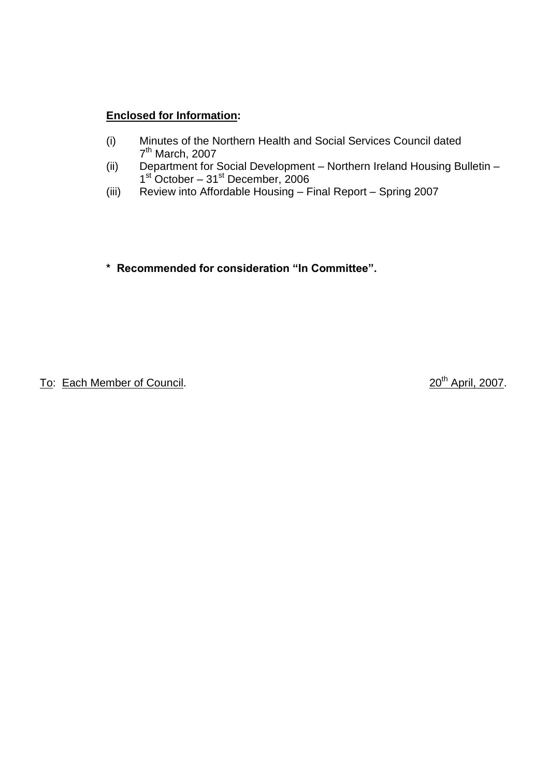# **Enclosed for Information:**

- (i) Minutes of the Northern Health and Social Services Council dated 7<sup>th</sup> March, 2007
- (ii) Department for Social Development Northern Ireland Housing Bulletin 1<sup>st</sup> October – 31<sup>st</sup> December, 2006
- (iii) Review into Affordable Housing Final Report Spring 2007

**\*Recommendedforconsideration"InCommittee".**

To: Each Member of Council. 2007.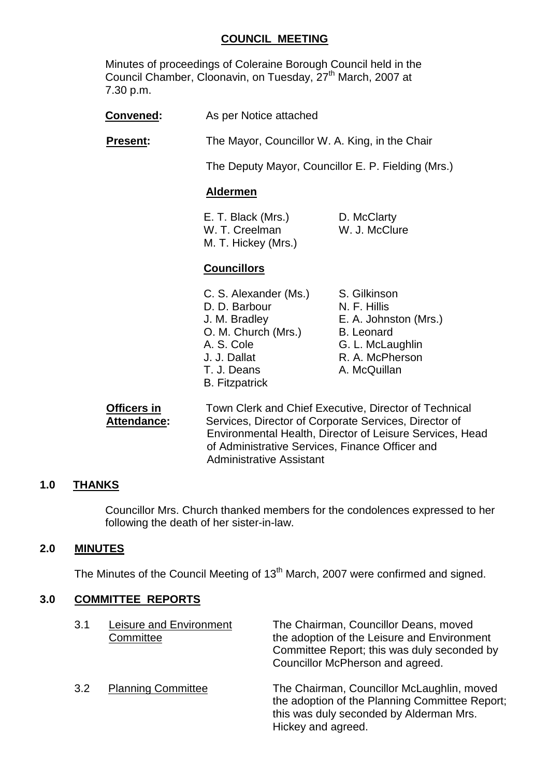### **COUNCIL MEETING**

Minutes of proceedings of Coleraine Borough Council held in the Council Chamber, Cloonavin, on Tuesday, 27<sup>th</sup> March, 2007 at 7.30 p.m.

**Convened:** As per Notice attached

**Present:** The Mayor, Councillor W. A. King, in the Chair

The Deputy Mayor, Councillor E. P. Fielding (Mrs.)

#### **Aldermen**

E. T. Black (Mrs.) D. McClarty W. T. Creelman W. J. McClure M. T. Hickey (Mrs.)

## **Councillors**

- C. S. Alexander (Ms.) S. Gilkinson D. D. Barbour N. F. Hillis J. M. Bradley E. A. Johnston (Mrs.) O. M. Church (Mrs.) B. Leonard A. S. Cole **G. L. McLaughlin** J. J. Dallat R. A. McPherson T. J. Deans A. McQuillan B. Fitzpatrick
	-
	-
	-
	-
	-
	-
	-

**Officers in Town Clerk and Chief Executive, Director of Technical** Attendance: Services, Director of Corporate Services, Director of Environmental Health, Director of Leisure Services, Head of Administrative Services, Finance Officer and Administrative Assistant

#### **1.0 THANKS**

Councillor Mrs. Church thanked members for the condolences expressed to her following the death of her sister-in-law.

#### **2.0 MINUTES**

The Minutes of the Council Meeting of 13<sup>th</sup> March, 2007 were confirmed and signed.

#### **3.0 COMMITTEE REPORTS**

| 3.1 | Leisure and Environment<br>Committee | The Chairman, Councillor Deans, moved<br>the adoption of the Leisure and Environment<br>Committee Report; this was duly seconded by<br>Councillor McPherson and agreed. |
|-----|--------------------------------------|-------------------------------------------------------------------------------------------------------------------------------------------------------------------------|
| 3.2 | <b>Planning Committee</b>            | The Chairman, Councillor McLaughlin, moved<br>the adoption of the Planning Committee Report;<br>this was duly seconded by Alderman Mrs.<br>Hickey and agreed.           |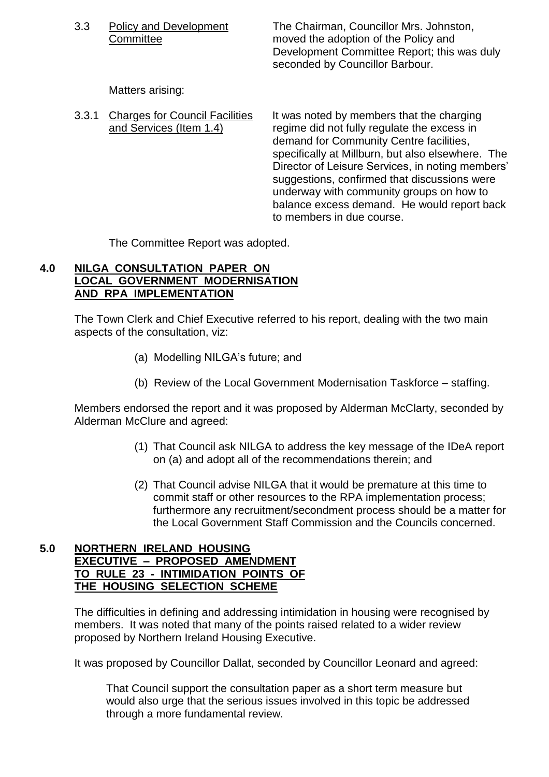3.3 Policy and Development The Chairman, Councillor Mrs. Johnston, Committee moved the adoption of the Policy and Development Committee Report; this was duly seconded by Councillor Barbour.

Matters arising:

3.3.1 Charges for Council Facilities It was noted by members that the charging and Services (Item 1.4) regime did not fully regulate the excess in demand for Community Centre facilities, specifically at Millburn, but also elsewhere. The Director of Leisure Services, in noting members' suggestions, confirmed that discussions were underway with community groups on how to balance excess demand. He would report back to members in due course.

The Committee Report was adopted.

# **4.0 NILGA CONSULTATION PAPER ON LOCAL GOVERNMENT MODERNISATION AND RPA IMPLEMENTATION**

The Town Clerk and Chief Executive referred to his report, dealing with the two main aspects of the consultation, viz:

- (a) Modelling NILGA's future; and
- (b) Review of the Local Government Modernisation Taskforce staffing.

Members endorsed the report and it was proposed by Alderman McClarty, seconded by Alderman McClure and agreed:

- (1) That Council ask NILGA to address the key message of the IDeA report on (a) and adopt all of the recommendations therein; and
- (2) That Council advise NILGA that it would be premature at this time to commit staff or other resources to the RPA implementation process; furthermore any recruitment/secondment process should be a matter for the Local Government Staff Commission and the Councils concerned.

#### **5.0 NORTHERN IRELAND HOUSING EXECUTIVE –PROPOSED AMENDMENT TO RULE 23 - INTIMIDATION POINTS OF THE HOUSING SELECTION SCHEME**

The difficulties in defining and addressing intimidation in housing were recognised by members. It was noted that many of the points raised related to a wider review proposed by Northern Ireland Housing Executive.

It was proposed by Councillor Dallat, seconded by Councillor Leonard and agreed:

That Council support the consultation paper as a short term measure but would also urge that the serious issues involved in this topic be addressed through a more fundamental review.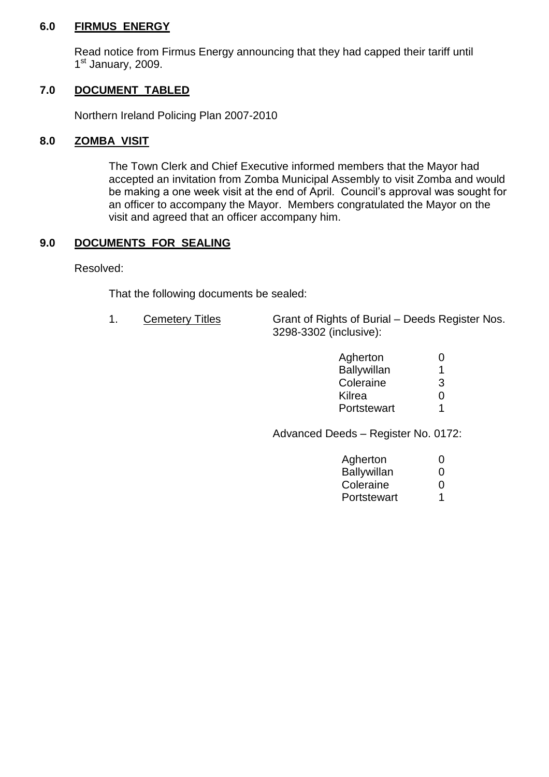#### **6.0 FIRMUS ENERGY**

Read notice from Firmus Energy announcing that they had capped their tariff until 1<sup>st</sup> January, 2009.

# **7.0 DOCUMENT TABLED**

Northern Ireland Policing Plan 2007-2010

#### **8.0 ZOMBA VISIT**

The Town Clerk and Chief Executive informed members that the Mayor had accepted an invitation from Zomba Municipal Assembly to visit Zomba and would be making a one week visit at the end of April. Council's approval was sought for an officer to accompany the Mayor. Members congratulated the Mayor on the visit and agreed that an officer accompany him.

## **9.0 DOCUMENTS FOR SEALING**

Resolved:

That the following documents be sealed:

1. Cemetery Titles Grant of Rights of Burial – Deeds Register Nos. 3298-3302 (inclusive):

| Agherton           | $\mathbf{O}$ |
|--------------------|--------------|
| <b>Ballywillan</b> | 1            |
| Coleraine          | З            |
| Kilrea             | 0            |
| Portstewart        | 1            |

Advanced Deeds - Register No. 0172:

| Agherton    | $\mathbf{0}$      |
|-------------|-------------------|
| Ballywillan | $\mathbf{\Omega}$ |
| Coleraine   | $\mathbf{\Omega}$ |
| Portstewart | 1                 |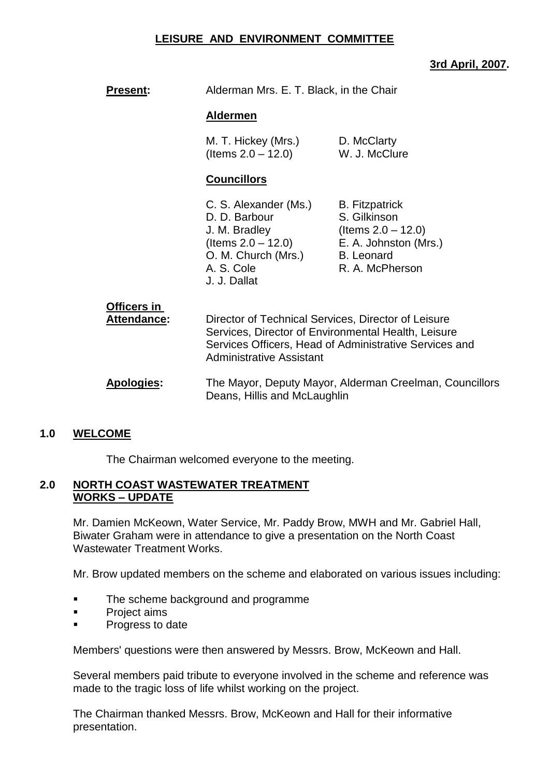#### **LEISURE AND ENVIRONMENT COMMITTEE**

# **3rd April, 2007.**

| Alderman Mrs. E. T. Black, in the Chair<br><b>Present:</b> |
|------------------------------------------------------------|
|------------------------------------------------------------|

#### **Aldermen**

M. T. Hickey (Mrs.) D. McClarty  $($ ltems  $2.0 - 12.0)$  W. J. McClure

#### **Councillors**

- C. S. Alexander (Ms.) B. Fitzpatrick D. D. Barbour S. Gilkinson J. M. Bradley (Items 2.0 –12.0) O. M. Church (Mrs.) B. Leonard A. S. Cole R. A. McPherson J. J. Dallat
- (Items 2.0 –12.0) E. A. Johnston (Mrs.)

| <b>Officers in</b><br>Attendance: | Director of Technical Services, Director of Leisure<br>Services, Director of Environmental Health, Leisure<br>Services Officers, Head of Administrative Services and<br><b>Administrative Assistant</b> |
|-----------------------------------|---------------------------------------------------------------------------------------------------------------------------------------------------------------------------------------------------------|
| Anologiae:                        | The Mayer, Deputy Mayer, Alderman Creelman, Councillo                                                                                                                                                   |

#### **Apologies:** The Mayor, Deputy Mayor, Alderman Creelman, Councillors Deans, Hillis and McLaughlin

#### **1.0 WELCOME**

The Chairman welcomed everyone to the meeting.

#### **2.0 NORTH COAST WASTEWATER TREATMENT WORKS –UPDATE**

Mr. Damien McKeown, Water Service, Mr. Paddy Brow, MWH and Mr. Gabriel Hall, Biwater Graham were in attendance to give a presentation on the North Coast Wastewater Treatment Works.

Mr. Brow updated members on the scheme and elaborated on various issues including:

- **The scheme background and programme**
- Project aims
- **Progress to date**

Members' questions were then answered by Messrs. Brow, McKeown and Hall.

Several members paid tribute to everyone involved in the scheme and reference was made to the tragic loss of life whilst working on the project.

The Chairman thanked Messrs. Brow, McKeown and Hall for their informative presentation.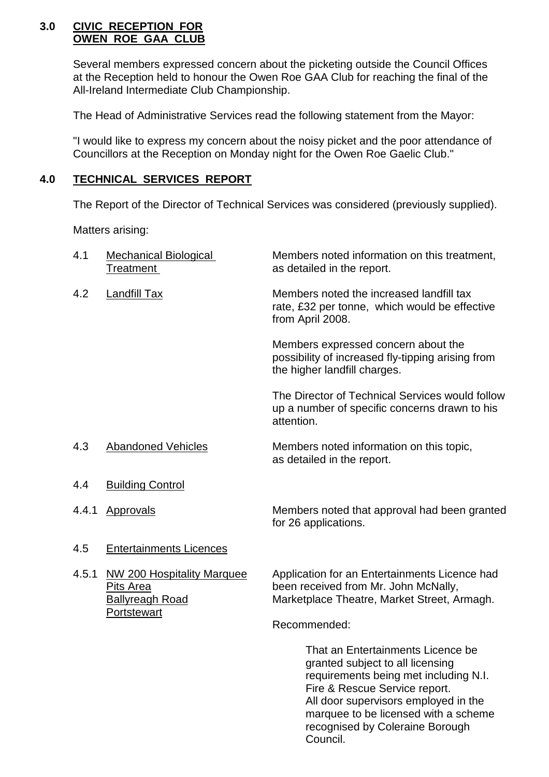#### **3.0 CIVIC RECEPTION FOR OWEN ROE GAA CLUB**

Several members expressed concern about the picketing outside the Council Offices at the Reception held to honour the Owen Roe GAA Club for reaching the final of the All-Ireland Intermediate Club Championship.

The Head of Administrative Services read the following statement from the Mayor:

"I would like to express my concern about the noisy picket and the poor attendance of Councillors at the Reception on Monday night for the Owen Roe Gaelic Club."

# **4.0 TECHNICAL SERVICES REPORT**

The Report of the Director of Technical Services was considered (previously supplied).

Matters arising:

| 4.1   | <b>Mechanical Biological</b><br><b>Treatment</b>                                               | Members noted information on this treatment,<br>as detailed in the report.                                                                                                                                                      |
|-------|------------------------------------------------------------------------------------------------|---------------------------------------------------------------------------------------------------------------------------------------------------------------------------------------------------------------------------------|
| 4.2   | Landfill Tax                                                                                   | Members noted the increased landfill tax<br>rate, £32 per tonne, which would be effective<br>from April 2008.                                                                                                                   |
|       |                                                                                                | Members expressed concern about the<br>possibility of increased fly-tipping arising from<br>the higher landfill charges.                                                                                                        |
|       |                                                                                                | The Director of Technical Services would follow<br>up a number of specific concerns drawn to his<br>attention.                                                                                                                  |
| 4.3   | <b>Abandoned Vehicles</b>                                                                      | Members noted information on this topic,<br>as detailed in the report.                                                                                                                                                          |
| 4.4   | <b>Building Control</b>                                                                        |                                                                                                                                                                                                                                 |
| 4.4.1 | Approvals                                                                                      | Members noted that approval had been granted<br>for 26 applications.                                                                                                                                                            |
| 4.5   | <b>Entertainments Licences</b>                                                                 |                                                                                                                                                                                                                                 |
| 4.5.1 | <b>NW 200 Hospitality Marquee</b><br>Pits Area<br><b>Ballyreagh Road</b><br><b>Portstewart</b> | Application for an Entertainments Licence had<br>been received from Mr. John McNally,<br>Marketplace Theatre, Market Street, Armagh.                                                                                            |
|       |                                                                                                | Recommended:                                                                                                                                                                                                                    |
|       |                                                                                                | That an Entertainments Licence be<br>granted subject to all licensing<br>requirements being met including N.I.<br>Fire & Rescue Service report.<br>All door supervisors employed in the<br>marquee to be licensed with a scheme |

recognised by Coleraine Borough

Council.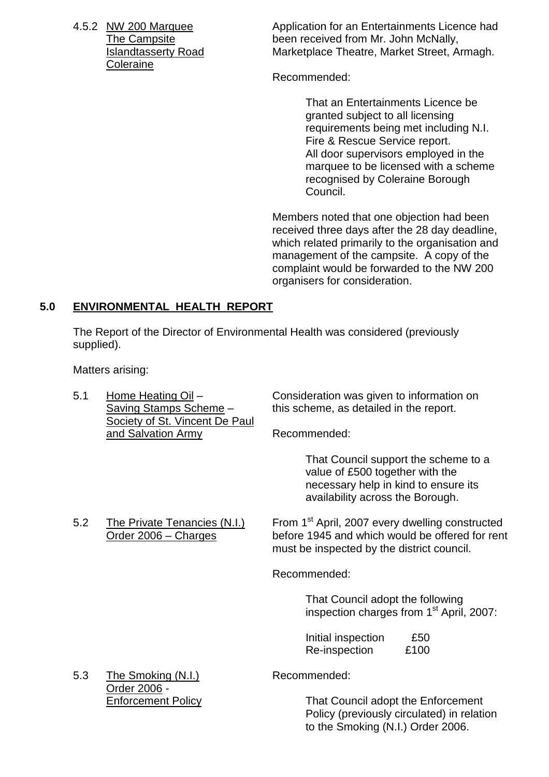**Coleraine** 

4.5.2 NW 200 Marquee Application for an Entertainments Licence had The Campsite **been received from Mr. John McNally**, Islandtasserty Road Marketplace Theatre, Market Street, Armagh.

Recommended:

That an Entertainments Licence be granted subject to all licensing requirements being met including N.I. Fire & Rescue Service report. All door supervisors employed in the marquee to be licensed with a scheme recognised by Coleraine Borough Council.

Members noted that one objection had been received three days after the 28 day deadline, which related primarily to the organisation and management of the campsite. A copy of the complaint would be forwarded to the NW 200 organisers for consideration.

## **5.0 ENVIRONMENTAL HEALTH REPORT**

The Report of the Director of Environmental Health was considered (previously supplied).

Matters arising:

| 5.1 | Home Heating Oil -<br>Saving Stamps Scheme -<br>Society of St. Vincent De Paul | Consideration was given to information on<br>this scheme, as detailed in the report.                                                                         |
|-----|--------------------------------------------------------------------------------|--------------------------------------------------------------------------------------------------------------------------------------------------------------|
|     | and Salvation Army                                                             | Recommended:                                                                                                                                                 |
|     |                                                                                | That Council support the scheme to a<br>value of £500 together with the<br>necessary help in kind to ensure its<br>availability across the Borough.          |
| 5.2 | The Private Tenancies (N.I.)<br>Order 2006 - Charges                           | From 1 <sup>st</sup> April, 2007 every dwelling constructed<br>before 1945 and which would be offered for rent<br>must be inspected by the district council. |
|     |                                                                                | Recommended:                                                                                                                                                 |
|     |                                                                                | That Council adopt the following<br>inspection charges from 1 <sup>st</sup> April, 2007:                                                                     |
|     |                                                                                | Initial inspection<br>£50<br>Re-inspection<br>£100                                                                                                           |
| 5.3 | The Smoking (N.I.)<br>Order 2006 -                                             | Recommended:                                                                                                                                                 |
|     | <b>Enforcement Policy</b>                                                      | That Council adopt the Enforcement                                                                                                                           |

Policy (previously circulated) in relation to the Smoking (N.I.) Order 2006.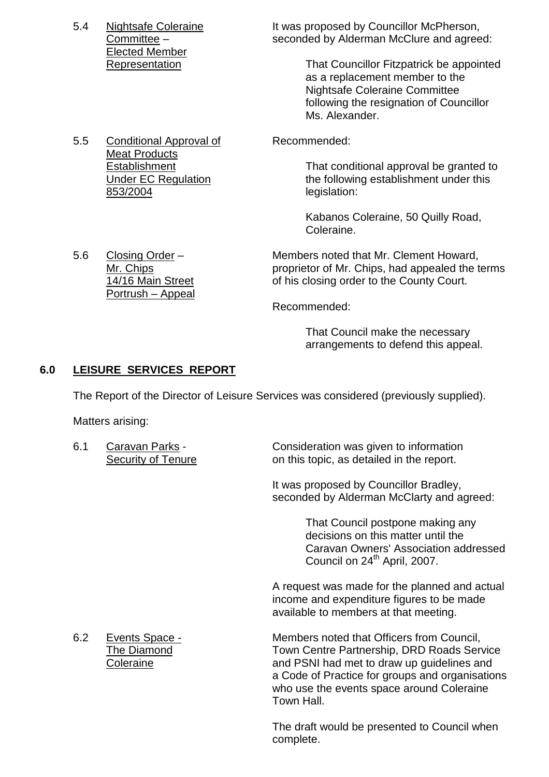Elected Member

5.5 Conditional Approval of Recommended: Meat Products 853/2004 legislation:

5.4 Nightsafe Coleraine It was proposed by Councillor McPherson, Committee – seconded by Alderman McClure and agreed:

Representation That Councillor Fitzpatrick be appointed as a replacement member to the Nightsafe Coleraine Committee following the resignation of Councillor Ms. Alexander.

Establishment That conditional approval be granted to Under EC Regulation the following establishment under this

> Kabanos Coleraine, 50 Quilly Road, Coleraine.

5.6 Closing Order – Members noted that Mr. Clement Howard, Mr. Chips proprietor of Mr. Chips, had appealed the terms 14/16 Main Street of his closing order to the County Court.

Recommended:

That Council make the necessary arrangements to defend this appeal.

# **6.0 LEISURE SERVICES REPORT**

Portrush – Appeal

The Report of the Director of Leisure Services was considered (previously supplied).

Matters arising:

| 6.1 | Caravan Parks -<br><b>Security of Tenure</b>             | Consideration was given to information<br>on this topic, as detailed in the report.                                                                                                                                                                 |
|-----|----------------------------------------------------------|-----------------------------------------------------------------------------------------------------------------------------------------------------------------------------------------------------------------------------------------------------|
|     |                                                          | It was proposed by Councillor Bradley,<br>seconded by Alderman McClarty and agreed:                                                                                                                                                                 |
|     |                                                          | That Council postpone making any<br>decisions on this matter until the<br>Caravan Owners' Association addressed<br>Council on 24 <sup>th</sup> April, 2007.                                                                                         |
|     |                                                          | A request was made for the planned and actual<br>income and expenditure figures to be made<br>available to members at that meeting.                                                                                                                 |
| 6.2 | <b>Events Space -</b><br><b>The Diamond</b><br>Coleraine | Members noted that Officers from Council,<br>Town Centre Partnership, DRD Roads Service<br>and PSNI had met to draw up guidelines and<br>a Code of Practice for groups and organisations<br>who use the events space around Coleraine<br>Town Hall. |
|     |                                                          | The draft would be presented to Council when<br>complete.                                                                                                                                                                                           |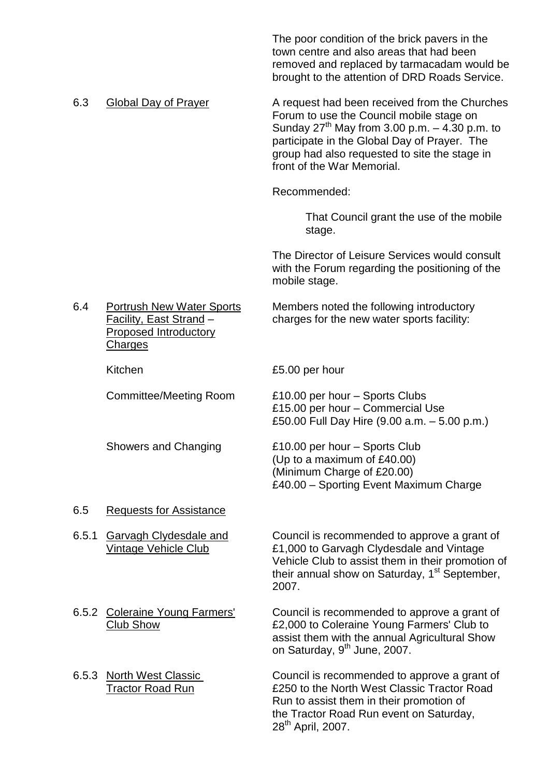The poor condition of the brick pavers in the town centre and also areas that had been removed and replaced by tarmacadam would be brought to the attention of DRD Roads Service.

6.3 Global Day of Prayer **A** request had been received from the Churches Forum to use the Council mobile stage on Sunday  $27<sup>th</sup>$  May from 3.00 p.m.  $-4.30$  p.m. to participate in the Global Day of Prayer. The group had also requested to site the stage in front of the War Memorial.

Recommended:

That Council grant the use of the mobile stage.

The Director of Leisure Services would consult with the Forum regarding the positioning of the mobile stage.

6.4 Portrush New Water Sports Members noted the following introductory Facility, East Strand – charges for the new water sports facility:

Proposed Introductory **Charges** 

Kitchen **E5.00** per hour

Committee/Meeting Room £10.00 per hour –Sports Clubs £15.00 per hour –Commercial Use £50.00 Full Day Hire (9.00 a.m. – 5.00 p.m.)

Showers and Changing E10.00 per hour – Sports Club (Up to a maximum of £40.00) (Minimum Charge of £20.00) £40.00 –Sporting Event Maximum Charge

#### 6.5 Requests for Assistance

6.5.1 Garvagh Clydesdale and Council is recommended to approve a grant of Vintage Vehicle Club £1,000 to Garvagh Clydesdale and Vintage Vehicle Club to assist them in their promotion of their annual show on Saturday,  $1<sup>st</sup>$  September, 2007.

- 
- 

6.5.2 Coleraine Young Farmers' Council is recommended to approve a grant of Club Show £2,000 to Coleraine Young Farmers' Club to assist them with the annual Agricultural Show on Saturday, 9<sup>th</sup> June, 2007.

6.5.3 North West Classic Council is recommended to approve a grant of Tractor Road Run £250 to the North West Classic Tractor Road Run to assist them in their promotion of the Tractor Road Run event on Saturday, 28th April, 2007.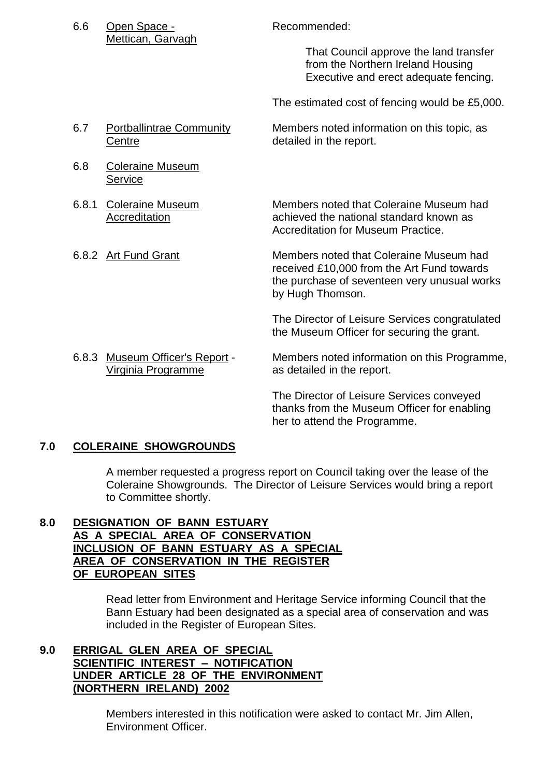|       | Mettican, Garvagh                                      | That Council approve the land transfer<br>from the Northern Ireland Housing<br>Executive and erect adequate fencing.                                      |
|-------|--------------------------------------------------------|-----------------------------------------------------------------------------------------------------------------------------------------------------------|
|       |                                                        | The estimated cost of fencing would be £5,000.                                                                                                            |
| 6.7   | <b>Portballintrae Community</b><br>Centre              | Members noted information on this topic, as<br>detailed in the report.                                                                                    |
| 6.8   | <b>Coleraine Museum</b><br>Service                     |                                                                                                                                                           |
| 6.8.1 | <b>Coleraine Museum</b><br>Accreditation               | Members noted that Coleraine Museum had<br>achieved the national standard known as<br><b>Accreditation for Museum Practice.</b>                           |
|       | 6.8.2 Art Fund Grant                                   | Members noted that Coleraine Museum had<br>received £10,000 from the Art Fund towards<br>the purchase of seventeen very unusual works<br>by Hugh Thomson. |
|       |                                                        | The Director of Leisure Services congratulated<br>the Museum Officer for securing the grant.                                                              |
| 6.8.3 | <b>Museum Officer's Report -</b><br>Virginia Programme | Members noted information on this Programme,<br>as detailed in the report.                                                                                |
|       |                                                        | The Director of Leisure Services conveyed<br>thanks from the Museum Officer for enabling                                                                  |

6.6 Open Space - Recommended:

#### **7.0 COLERAINE SHOWGROUNDS**

A member requested a progress report on Council taking over the lease of the Coleraine Showgrounds. The Director of Leisure Services would bring a report to Committee shortly.

her to attend the Programme.

# **8.0 DESIGNATION OF BANN ESTUARY AS A SPECIAL AREA OF CONSERVATION INCLUSION OF BANN ESTUARY AS A SPECIAL AREA OF CONSERVATION IN THE REGISTER OF EUROPEAN SITES**

Read letter from Environment and Heritage Service informing Council that the Bann Estuary had been designated as a special area of conservation and was included in the Register of European Sites.

## **9.0 ERRIGAL GLEN AREA OF SPECIAL SCIENTIFIC INTEREST –NOTIFICATION UNDER ARTICLE 28 OF THE ENVIRONMENT (NORTHERN IRELAND) 2002**

Members interested in this notification were asked to contact Mr. Jim Allen, Environment Officer.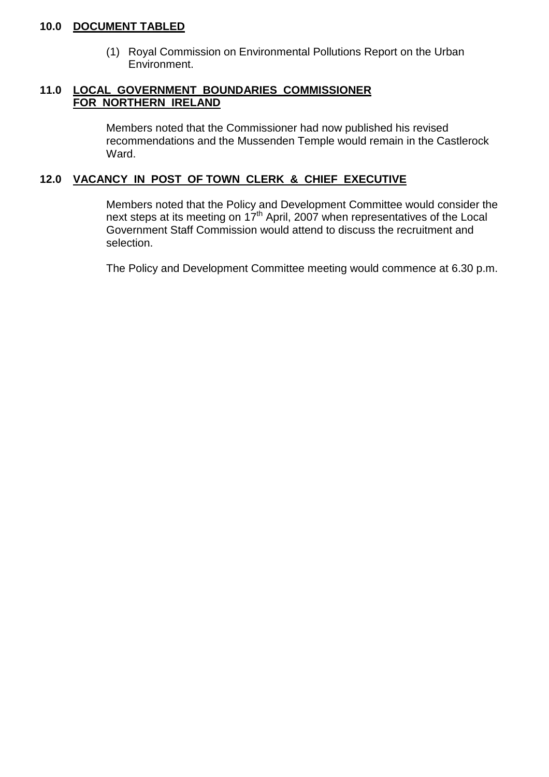## **10.0 DOCUMENT TABLED**

(1) Royal Commission on Environmental Pollutions Report on the Urban Environment.

# **11.0 LOCAL GOVERNMENT BOUNDARIES COMMISSIONER FOR NORTHERN IRELAND**

Members noted that the Commissioner had now published his revised recommendations and the Mussenden Temple would remain in the Castlerock Ward.

# **12.0 VACANCY IN POST OF TOWN CLERK & CHIEF EXECUTIVE**

Members noted that the Policy and Development Committee would consider the next steps at its meeting on 17<sup>th</sup> April, 2007 when representatives of the Local Government Staff Commission would attend to discuss the recruitment and selection.

The Policy and Development Committee meeting would commence at 6.30 p.m.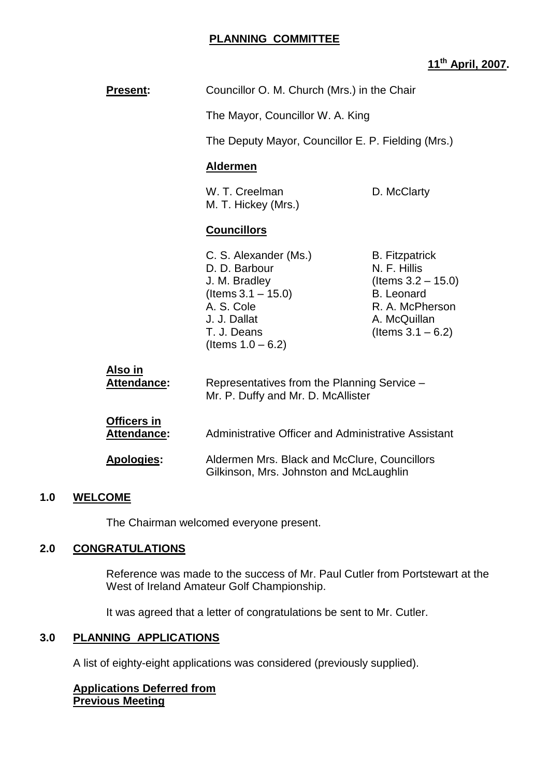#### **PLANNING COMMITTEE**

# **11th April, 2007.**

| <b>Present:</b> | Councillor O. M. Church (Mrs.) in the Chair             |                                                                |
|-----------------|---------------------------------------------------------|----------------------------------------------------------------|
|                 | The Mayor, Councillor W. A. King                        |                                                                |
|                 | The Deputy Mayor, Councillor E. P. Fielding (Mrs.)      |                                                                |
|                 | <b>Aldermen</b>                                         |                                                                |
|                 | W. T. Creelman<br>M. T. Hickey (Mrs.)                   | D. McClarty                                                    |
|                 | <b>Councillors</b>                                      |                                                                |
|                 | C. S. Alexander (Ms.)<br>D. D. Barbour<br>J. M. Bradley | <b>B.</b> Fitzpatrick<br>N. F. Hillis<br>(Items $3.2 - 15.0$ ) |

| AIJV III                                 | Representatives from the Planning Service -         |
|------------------------------------------|-----------------------------------------------------|
| <b>Attendance:</b>                       | Mr. P. Duffy and Mr. D. McAllister                  |
| <b>Officers in</b><br><b>Attendance:</b> | Administrative Officer and Administrative Assistant |

 $($ ltems  $1.0 - 6.2)$ 

 $($ ltems  $3.1 - 15.0)$  B. Leonard

A. S. Cole R. A. McPherson J. J. Dallat A. McQuillan T. J. Deans (Items  $3.1 - 6.2$ )

## **Apologies:** Aldermen Mrs. Black and McClure, Councillors Gilkinson, Mrs. Johnston and McLaughlin

#### **1.0 WELCOME**

The Chairman welcomed everyone present.

#### **2.0 CONGRATULATIONS**

**Also in**

Reference was made to the success of Mr. Paul Cutler from Portstewart at the West of Ireland Amateur Golf Championship.

It was agreed that a letter of congratulations be sent to Mr. Cutler.

#### **3.0 PLANNING APPLICATIONS**

A list of eighty-eight applications was considered (previously supplied).

#### **Applications Deferred from Previous Meeting**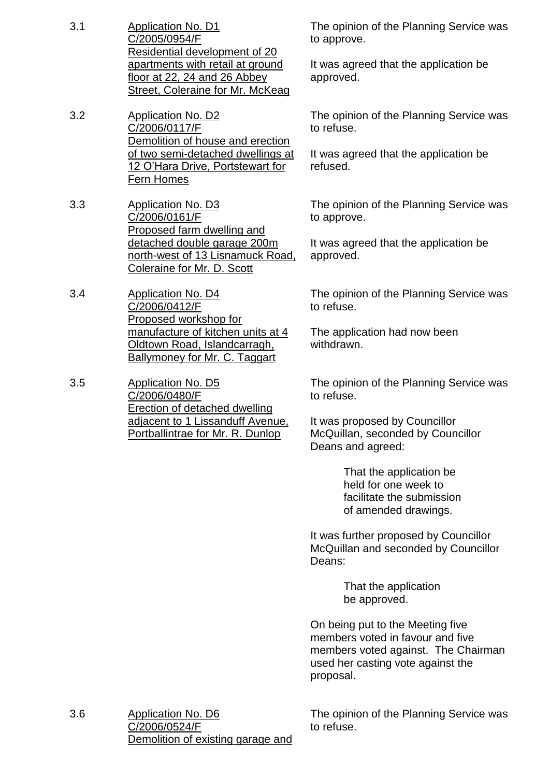- 3.1 Application No. D1 C/2005/0954/F Residential development of 20 apartments with retail at ground floor at 22, 24 and 26 Abbey Street, Coleraine for Mr. McKeag
- 3.2 Application No. D2 C/2006/0117/F Demolition of house and erection of two semi-detached dwellings at 12 O'Hara Drive, Portstewart for Fern Homes
- 3.3 Application No. D3 C/2006/0161/F Proposed farm dwelling and detached double garage 200m north-west of 13 Lisnamuck Road, Coleraine for Mr. D. Scott
- 3.4 Application No. D4 C/2006/0412/F Proposed workshop for manufacture of kitchen units at 4 Oldtown Road, Islandcarragh, Ballymoney for Mr. C. Taggart
- 3.5 Application No. D5 C/2006/0480/F Erection of detached dwelling adjacent to 1 Lissanduff Avenue, Portballintrae for Mr. R. Dunlop

The opinion of the Planning Service was to approve.

It was agreed that the application be approved.

The opinion of the Planning Service was to refuse.

It was agreed that the application be refused.

The opinion of the Planning Service was to approve.

It was agreed that the application be approved.

The opinion of the Planning Service was to refuse.

The application had now been withdrawn.

The opinion of the Planning Service was to refuse.

It was proposed by Councillor McQuillan, seconded by Councillor Deans and agreed:

> That the application be held for one week to facilitate the submission of amended drawings.

It was further proposed by Councillor McQuillan and seconded by Councillor Deans:

> That the application be approved.

On being put to the Meeting five members voted in favour and five members voted against. The Chairman used her casting vote against the proposal.

3.6 Application No. D6 C/2006/0524/F Demolition of existing garage and The opinion of the Planning Service was to refuse.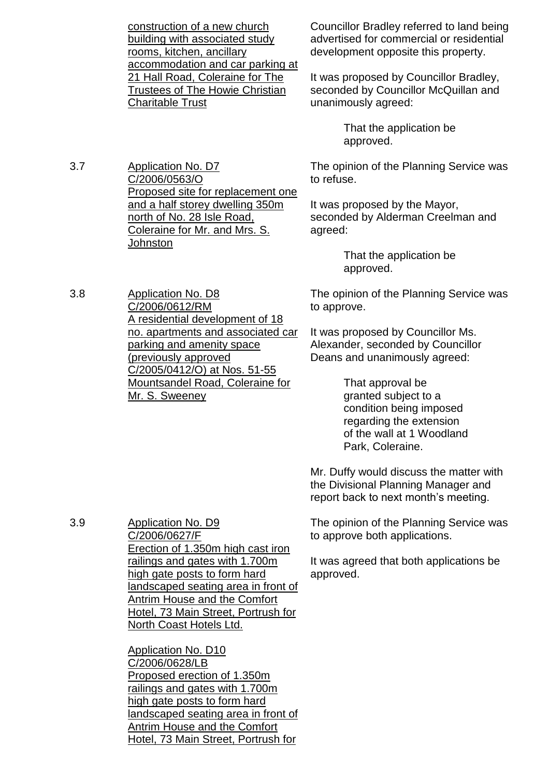construction of a new church building with associated study rooms, kitchen, ancillary accommodation and car parking at 21 Hall Road, Coleraine for The Trustees of The Howie Christian Charitable Trust

Councillor Bradley referred to land being advertised for commercial or residential development opposite this property.

It was proposed by Councillor Bradley, seconded by Councillor McQuillan and unanimously agreed:

> That the application be approved.

The opinion of the Planning Service was to refuse.

It was proposed by the Mayor, seconded by Alderman Creelman and agreed:

> That the application be approved.

The opinion of the Planning Service was to approve.

It was proposed by Councillor Ms. Alexander, seconded by Councillor Deans and unanimously agreed:

> That approval be granted subject to a condition being imposed regarding the extension of the wall at 1 Woodland Park, Coleraine.

Mr. Duffy would discuss the matter with the Divisional Planning Manager and report back to next month's meeting.

The opinion of the Planning Service was to approve both applications.

It was agreed that both applications be approved.

3.7 Application No. D7 C/2006/0563/O Proposed site for replacement one and a half storey dwelling 350m north of No. 28 Isle Road, Coleraine for Mr. and Mrs. S. **Johnston** 

3.8 Application No. D8 C/2006/0612/RM A residential development of 18 no. apartments and associated car parking and amenity space (previously approved C/2005/0412/O) at Nos. 51-55 Mountsandel Road, Coleraine for Mr. S. Sweeney

3.9 Application No. D9 C/2006/0627/F Erection of 1.350m high cast iron railings and gates with 1.700m high gate posts to form hard landscaped seating area in front of Antrim House and the Comfort Hotel, 73 Main Street, Portrush for North Coast Hotels Ltd.

> Application No. D10 C/2006/0628/LB Proposed erection of 1.350m railings and gates with 1.700m high gate posts to form hard landscaped seating area in front of Antrim House and the Comfort Hotel, 73 Main Street, Portrush for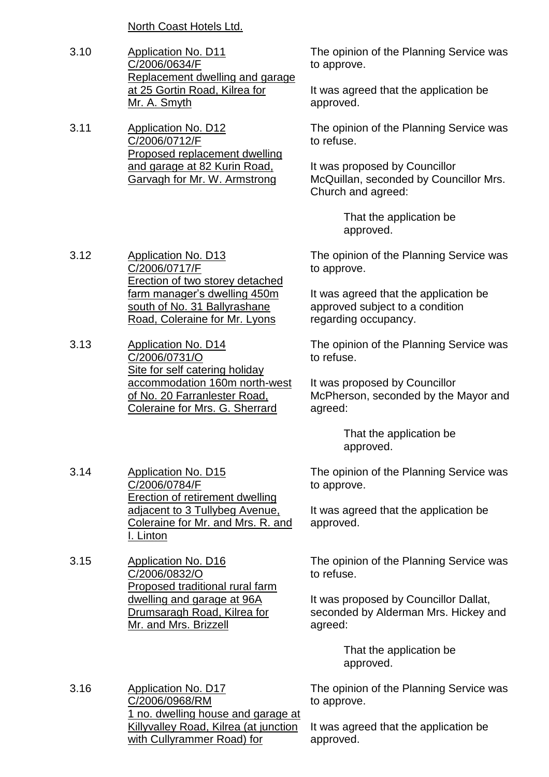North Coast Hotels Ltd.

3.10 Application No. D11 C/2006/0634/F Replacement dwelling and garage at 25 Gortin Road, Kilrea for Mr. A. Smyth

3.11 Application No. D12 C/2006/0712/F Proposed replacement dwelling and garage at 82 Kurin Road, Garvagh for Mr. W. Armstrong

The opinion of the Planning Service was to approve.

It was agreed that the application be approved.

The opinion of the Planning Service was to refuse.

It was proposed by Councillor McQuillan, seconded by Councillor Mrs. Church and agreed:

> That the application be approved.

The opinion of the Planning Service was to approve.

It was agreed that the application be approved subject to a condition regarding occupancy.

The opinion of the Planning Service was to refuse.

It was proposed by Councillor McPherson, seconded by the Mayor and agreed:

> That the application be approved.

The opinion of the Planning Service was to approve.

It was agreed that the application be approved.

The opinion of the Planning Service was to refuse.

It was proposed by Councillor Dallat, seconded by Alderman Mrs. Hickey and agreed:

> That the application be approved.

The opinion of the Planning Service was to approve.

It was agreed that the application be approved.

- 3.12 Application No. D13 C/2006/0717/F Erection of two storey detached farm manager's dwelling 450m south of No. 31 Ballyrashane Road, Coleraine for Mr. Lyons
- 3.13 Application No. D14 C/2006/0731/O Site for self catering holiday accommodation 160m north-west of No. 20 Farranlester Road, Coleraine for Mrs. G. Sherrard

3.14 Application No. D15 C/2006/0784/F Erection of retirement dwelling adjacent to 3 Tullybeg Avenue, Coleraine for Mr. and Mrs. R. and I. Linton

3.15 Application No. D16 C/2006/0832/O Proposed traditional rural farm dwelling and garage at 96A Drumsaragh Road, Kilrea for Mr. and Mrs. Brizzell

3.16 Application No. D17 C/2006/0968/RM 1 no. dwelling house and garage at Killyvalley Road, Kilrea (at junction with Cullyrammer Road) for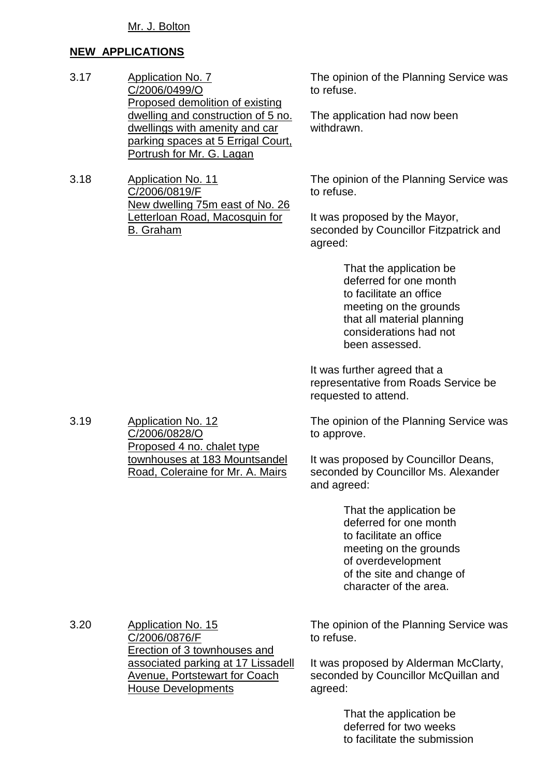# **NEW APPLICATIONS**

- 3.17 Application No. 7 C/2006/0499/O Proposed demolition of existing dwelling and construction of 5 no. dwellings with amenity and car parking spaces at 5 Errigal Court, Portrush for Mr. G. Lagan
- 3.18 Application No. 11 C/2006/0819/F New dwelling 75m east of No. 26 Letterloan Road, Macosquin for B. Graham

The opinion of the Planning Service was to refuse.

The application had now been withdrawn.

The opinion of the Planning Service was to refuse.

It was proposed by the Mayor, seconded by Councillor Fitzpatrick and agreed:

> That the application be deferred for one month to facilitate an office meeting on the grounds that all material planning considerations had not been assessed.

It was further agreed that a representative from Roads Service be requested to attend.

The opinion of the Planning Service was to approve.

It was proposed by Councillor Deans, seconded by Councillor Ms. Alexander and agreed:

> That the application be deferred for one month to facilitate an office meeting on the grounds of overdevelopment of the site and change of character of the area.

3.20 Application No. 15 C/2006/0876/F Erection of 3 townhouses and associated parking at 17 Lissadell Avenue, Portstewart for Coach House Developments

The opinion of the Planning Service was to refuse.

It was proposed by Alderman McClarty, seconded by Councillor McQuillan and agreed:

> That the application be deferred for two weeks to facilitate the submission

3.19 Application No. 12 C/2006/0828/O Proposed 4 no. chalet type townhouses at 183 Mountsandel Road, Coleraine for Mr. A. Mairs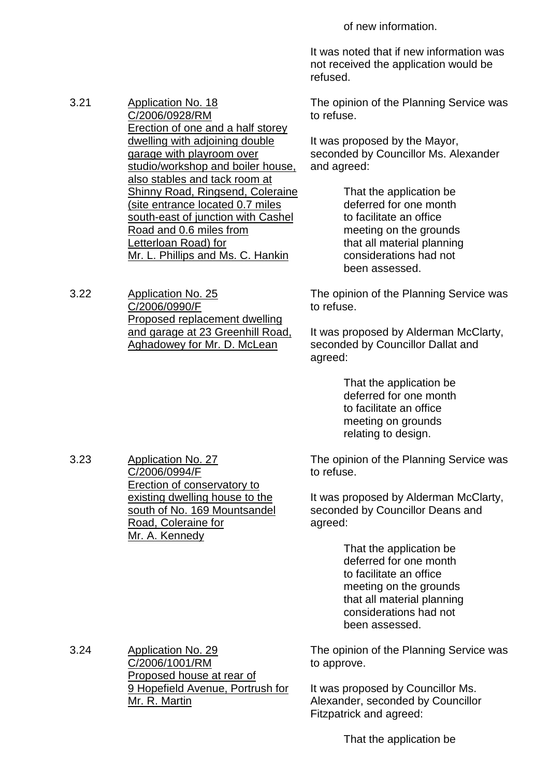of new information.

It was noted that if new information was not received the application would be refused.

The opinion of the Planning Service was to refuse.

It was proposed by the Mayor, seconded by Councillor Ms. Alexander and agreed:

> That the application be deferred for one month to facilitate an office meeting on the grounds that all material planning considerations had not been assessed.

The opinion of the Planning Service was to refuse.

It was proposed by Alderman McClarty, seconded by Councillor Dallat and agreed:

> That the application be deferred for one month to facilitate an office meeting on grounds relating to design.

The opinion of the Planning Service was to refuse.

It was proposed by Alderman McClarty, seconded by Councillor Deans and agreed:

> That the application be deferred for one month to facilitate an office meeting on the grounds that all material planning considerations had not been assessed.

The opinion of the Planning Service was to approve.

It was proposed by Councillor Ms. Alexander, seconded by Councillor Fitzpatrick and agreed:

That the application be

3.21 Application No. 18 C/2006/0928/RM Erection of one and a half storey dwelling with adjoining double garage with playroom over studio/workshop and boiler house, also stables and tack room at Shinny Road, Ringsend, Coleraine (site entrance located 0.7 miles south-east of junction with Cashel Road and 0.6 miles from Letterloan Road) for Mr. L. Phillips and Ms. C. Hankin

3.22 Application No. 25 C/2006/0990/F Proposed replacement dwelling and garage at 23 Greenhill Road, Aghadowey for Mr. D. McLean

3.23 Application No. 27 C/2006/0994/F Erection of conservatory to existing dwelling house to the south of No. 169 Mountsandel Road, Coleraine for Mr. A. Kennedy

3.24 Application No. 29 C/2006/1001/RM Proposed house at rear of 9 Hopefield Avenue, Portrush for Mr. R. Martin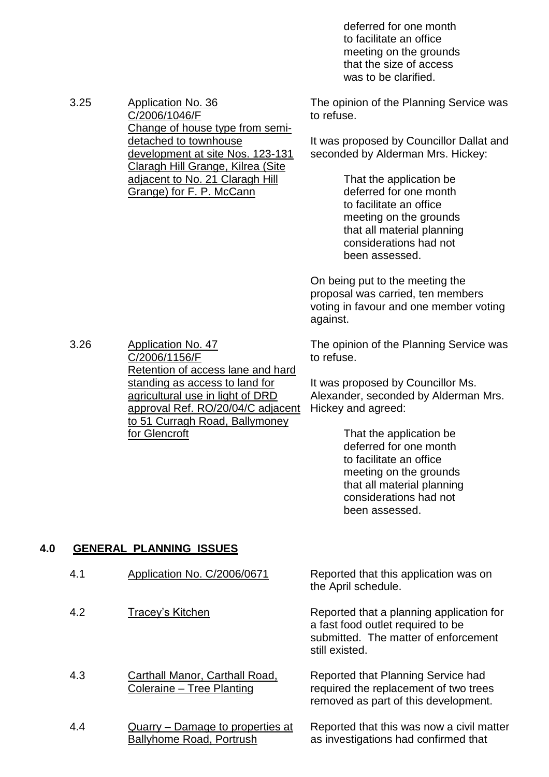deferred for one month to facilitate an office meeting on the grounds that the size of access was to be clarified.

The opinion of the Planning Service was to refuse.

It was proposed by Councillor Dallat and seconded by Alderman Mrs. Hickey:

> That the application be deferred for one month to facilitate an office meeting on the grounds that all material planning considerations had not been assessed.

On being put to the meeting the proposal was carried, ten members voting in favour and one member voting against.

The opinion of the Planning Service was to refuse.

It was proposed by Councillor Ms. Alexander, seconded by Alderman Mrs. Hickey and agreed:

> That the application be deferred for one month to facilitate an office meeting on the grounds that all material planning considerations had not been assessed.

#### **4.0 GENERAL PLANNING ISSUES**

| 4.1 | Application No. C/2006/0671                                         | Reported that this application was on<br>the April schedule.                                                                            |
|-----|---------------------------------------------------------------------|-----------------------------------------------------------------------------------------------------------------------------------------|
| 4.2 | Tracey's Kitchen                                                    | Reported that a planning application for<br>a fast food outlet required to be<br>submitted. The matter of enforcement<br>still existed. |
| 4.3 | Carthall Manor, Carthall Road,<br>Coleraine - Tree Planting         | Reported that Planning Service had<br>required the replacement of two trees<br>removed as part of this development.                     |
| 4.4 | Quarry – Damage to properties at<br><b>Ballyhome Road, Portrush</b> | Reported that this was now a civil matter<br>as investigations had confirmed that                                                       |

development at site Nos. 123-131 Claragh Hill Grange, Kilrea (Site adjacent to No. 21 Claragh Hill Grange) for F. P. McCann

detached to townhouse

Change of house type from semi-

3.25 Application No. 36

C/2006/1046/F

3.26 Application No. 47 C/2006/1156/F Retention of access lane and hard standing as access to land for agricultural use in light of DRD approval Ref. RO/20/04/C adjacent to 51 Curragh Road, Ballymoney

for Glencroft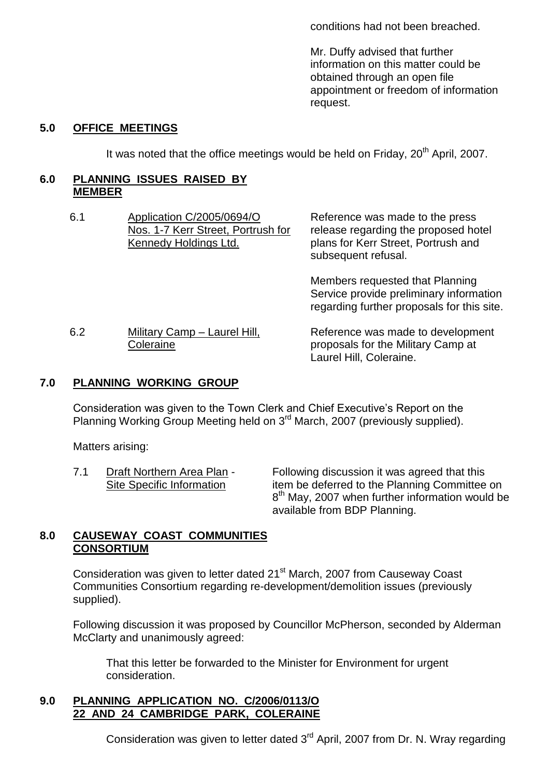conditions had not been breached.

Mr. Duffy advised that further information on this matter could be obtained through an open file appointment or freedom of information request.

## **5.0 OFFICE MEETINGS**

It was noted that the office meetings would be held on Friday, 20<sup>th</sup> April, 2007.

#### **6.0 PLANNING ISSUES RAISED BY MEMBER**

| 6.1 | Application C/2005/0694/O<br>Nos. 1-7 Kerr Street, Portrush for<br>Kennedy Holdings Ltd. | Reference was made to the press<br>release regarding the proposed hotel<br>plans for Kerr Street, Portrush and<br>subsequent refusal. |  |
|-----|------------------------------------------------------------------------------------------|---------------------------------------------------------------------------------------------------------------------------------------|--|
|     |                                                                                          | Members requested that Planning<br>Service provide preliminary information<br>regarding further proposals for this site.              |  |
| 6.2 | Military Camp - Laurel Hill,<br>Coleraine                                                | Reference was made to development<br>proposals for the Military Camp at                                                               |  |

#### **7.0 PLANNING WORKING GROUP**

Consideration was given to the Town Clerk and Chief Executive's Report on the Planning Working Group Meeting held on 3<sup>rd</sup> March, 2007 (previously supplied).

Matters arising:

7.1 Draft Northern Area Plan - Following discussion it was agreed that this Site Specific Information item be deferred to the Planning Committee on 8<sup>th</sup> May, 2007 when further information would be available from BDP Planning.

Laurel Hill, Coleraine.

#### **8.0 CAUSEWAY COAST COMMUNITIES CONSORTIUM**

Consideration was given to letter dated 21<sup>st</sup> March, 2007 from Causeway Coast Communities Consortium regarding re-development/demolition issues (previously supplied).

Following discussion it was proposed by Councillor McPherson, seconded by Alderman McClarty and unanimously agreed:

That this letter be forwarded to the Minister for Environment for urgent consideration.

#### **9.0 PLANNING APPLICATION NO. C/2006/0113/O 22 AND 24 CAMBRIDGE PARK, COLERAINE**

Consideration was given to letter dated 3<sup>rd</sup> April, 2007 from Dr. N. Wray regarding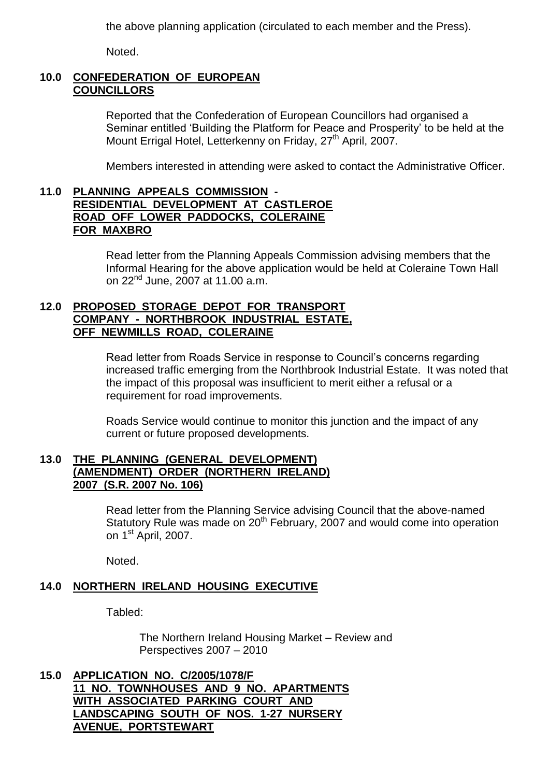the above planning application (circulated to each member and the Press).

Noted.

# **10.0 CONFEDERATION OF EUROPEAN COUNCILLORS**

Reported that the Confederation of European Councillors had organised a Seminar entitled 'Building the Platform for Peace and Prosperity' to be held at the Mount Errigal Hotel, Letterkenny on Friday, 27<sup>th</sup> April, 2007.

Members interested in attending were asked to contact the Administrative Officer.

#### **11.0 PLANNING APPEALS COMMISSION - RESIDENTIAL DEVELOPMENT AT CASTLEROE ROAD OFF LOWER PADDOCKS, COLERAINE FOR MAXBRO**

Read letter from the Planning Appeals Commission advising members that the Informal Hearing for the above application would be held at Coleraine Town Hall on  $22^{nd}$  June,  $2007$  at 11.00 a.m.

#### **12.0 PROPOSED STORAGE DEPOT FOR TRANSPORT COMPANY - NORTHBROOK INDUSTRIAL ESTATE, OFF NEWMILLS ROAD, COLERAINE**

Read letter from Roads Service in response to Council's concerns regarding increased traffic emerging from the Northbrook Industrial Estate. It was noted that the impact of this proposal was insufficient to merit either a refusal or a requirement for road improvements.

Roads Service would continue to monitor this junction and the impact of any current or future proposed developments.

#### **13.0 THE PLANNING (GENERAL DEVELOPMENT) (AMENDMENT) ORDER (NORTHERN IRELAND) 2007 (S.R. 2007 No. 106)**

Read letter from the Planning Service advising Council that the above-named Statutory Rule was made on  $20<sup>th</sup>$  February, 2007 and would come into operation on 1<sup>st</sup> April, 2007.

Noted.

# **14.0 NORTHERN IRELAND HOUSING EXECUTIVE**

Tabled:

The Northern Ireland Housing Market – Review and Perspectives 2007 –2010

**15.0 APPLICATION NO. C/2005/1078/F 11 NO. TOWNHOUSES AND 9 NO. APARTMENTS WITH ASSOCIATED PARKING COURT AND LANDSCAPING SOUTH OF NOS. 1-27 NURSERY AVENUE, PORTSTEWART**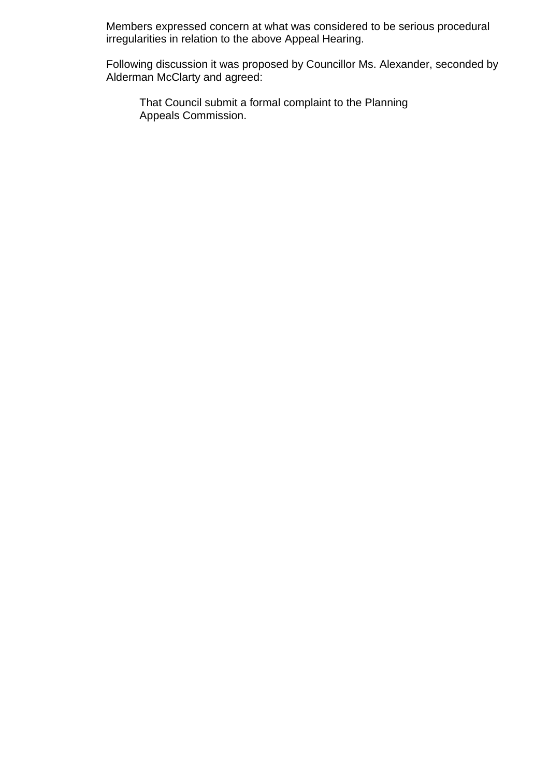Members expressed concern at what was considered to be serious procedural irregularities in relation to the above Appeal Hearing.

Following discussion it was proposed by Councillor Ms. Alexander, seconded by Alderman McClarty and agreed:

That Council submit a formal complaint to the Planning Appeals Commission.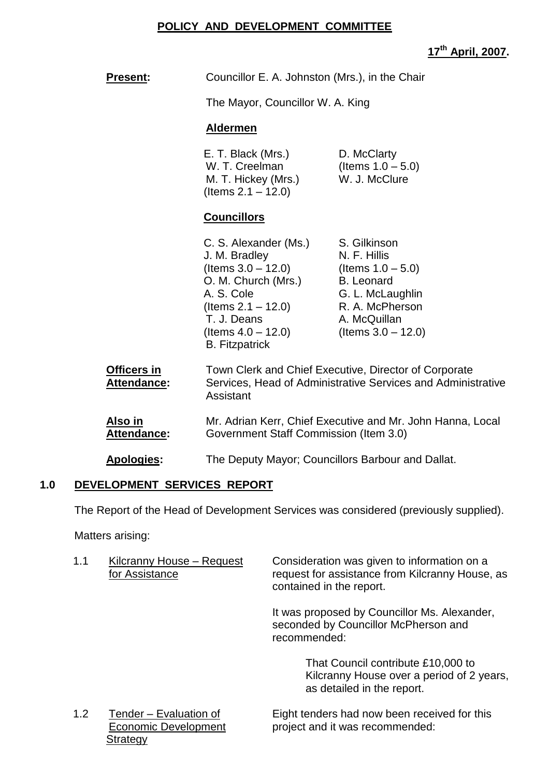#### **POLICY AND DEVELOPMENT COMMITTEE**

|                                          |                                                                                                                                                                                                |                                                                                                                                                           | 17th April, 2007. |
|------------------------------------------|------------------------------------------------------------------------------------------------------------------------------------------------------------------------------------------------|-----------------------------------------------------------------------------------------------------------------------------------------------------------|-------------------|
| <b>Present:</b>                          | Councillor E. A. Johnston (Mrs.), in the Chair                                                                                                                                                 |                                                                                                                                                           |                   |
|                                          | The Mayor, Councillor W. A. King                                                                                                                                                               |                                                                                                                                                           |                   |
|                                          | <u>Aldermen</u>                                                                                                                                                                                |                                                                                                                                                           |                   |
|                                          | E. T. Black (Mrs.)<br>W. T. Creelman<br>M. T. Hickey (Mrs.)<br>(Items $2.1 - 12.0$ )                                                                                                           | D. McClarty<br>(Items $1.0 - 5.0$ )<br>W. J. McClure                                                                                                      |                   |
|                                          | <b>Councillors</b>                                                                                                                                                                             |                                                                                                                                                           |                   |
|                                          | C. S. Alexander (Ms.)<br>J. M. Bradley<br>(Items $3.0 - 12.0$ )<br>O. M. Church (Mrs.)<br>A. S. Cole<br>(Items $2.1 - 12.0$ )<br>T. J. Deans<br>(Items $4.0 - 12.0$ )<br><b>B.</b> Fitzpatrick | S. Gilkinson<br>N. F. Hillis<br>(Items $1.0 - 5.0$ )<br><b>B.</b> Leonard<br>G. L. McLaughlin<br>R. A. McPherson<br>A. McQuillan<br>(Items $3.0 - 12.0$ ) |                   |
| <b>Officers in</b><br><b>Attendance:</b> | Town Clerk and Chief Executive, Director of Corporate<br>Services, Head of Administrative Services and Administrative<br>Assistant                                                             |                                                                                                                                                           |                   |

Also in Mr. Adrian Kerr, Chief Executive and Mr. John Hanna, Local<br>**Attendance:** Government Staff Commission (Item 3.0) Government Staff Commission (Item 3.0)

**Apologies:** The Deputy Mayor; Councillors Barbour and Dallat.

# **1.0 DEVELOPMENT SERVICES REPORT**

The Report of the Head of Development Services was considered (previously supplied).

Matters arising:

| 1.1 | Kilcranny House - Request<br>for Assistance                       | Consideration was given to information on a<br>request for assistance from Kilcranny House, as<br>contained in the report. |
|-----|-------------------------------------------------------------------|----------------------------------------------------------------------------------------------------------------------------|
|     |                                                                   | It was proposed by Councillor Ms. Alexander,<br>seconded by Councillor McPherson and<br>recommended:                       |
|     |                                                                   | That Council contribute £10,000 to<br>Kilcranny House over a period of 2 years,<br>as detailed in the report.              |
| 1.2 | Tender - Evaluation of<br><b>Economic Development</b><br>Strategy | Eight tenders had now been received for this<br>project and it was recommended:                                            |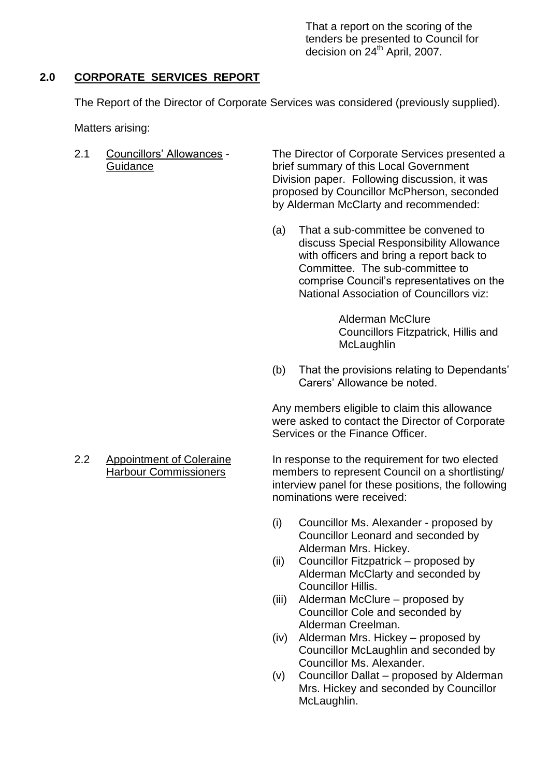That a report on the scoring of the tenders be presented to Council for decision on 24<sup>th</sup> April, 2007.

### **2.0 CORPORATE SERVICES REPORT**

The Report of the Director of Corporate Services was considered (previously supplied).

Matters arising:

2.1 Councillors' Allowances - The Director of Corporate Services presented a Guidance brief summary of this Local Government Division paper. Following discussion, it was proposed by Councillor McPherson, seconded by Alderman McClarty and recommended:

> (a) That a sub-committee be convened to discuss Special Responsibility Allowance with officers and bring a report back to Committee. The sub-committee to comprise Council's representatives on the National Association of Councillors viz:

> > Alderman McClure Councillors Fitzpatrick, Hillis and **McLaughlin**

(b) That the provisions relating to Dependants' Carers' Allowance be noted.

Any members eligible to claim this allowance were asked to contact the Director of Corporate Services or the Finance Officer.

2.2 Appointment of Coleraine In response to the requirement for two elected Harbour Commissioners members to represent Council on a shortlisting/ interview panel for these positions, the following nominations were received:

- (i) Councillor Ms. Alexander proposed by Councillor Leonard and seconded by Alderman Mrs. Hickey.
- $(ii)$  Councillor Fitzpatrick proposed by Alderman McClarty and seconded by Councillor Hillis.
- $(iii)$  Alderman McClure proposed by Councillor Cole and seconded by Alderman Creelman.
- $(iv)$  Alderman Mrs. Hickey proposed by Councillor McLaughlin and seconded by Councillor Ms. Alexander.
- $(v)$  Councillor Dallat proposed by Alderman Mrs. Hickey and seconded by Councillor McLaughlin.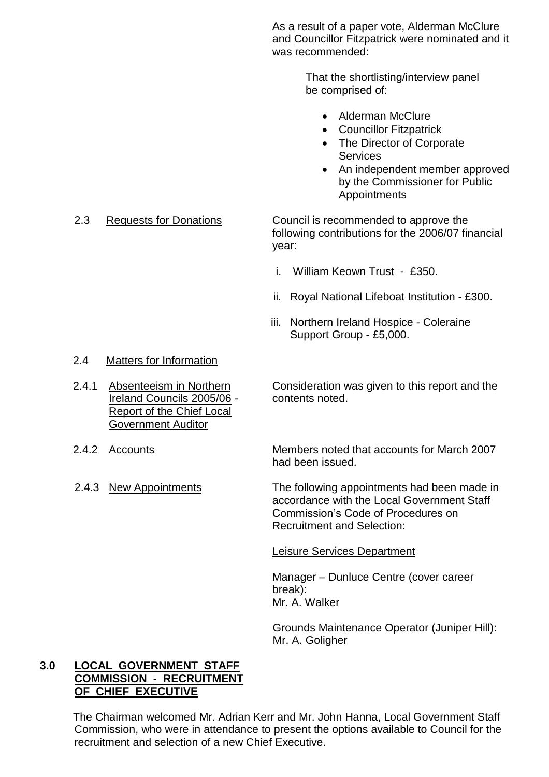As a result of a paper vote, Alderman McClure and Councillor Fitzpatrick were nominated and it was recommended:

> That the shortlisting/interview panel be comprised of:

- Alderman McClure
- Councillor Fitzpatrick
- The Director of Corporate **Services**
- An independent member approved by the Commissioner for Public Appointments

2.3 Requests for Donations Council is recommended to approve the following contributions for the 2006/07 financial year:

- i. William Keown Trust £350.
- ii. Royal National Lifeboat Institution £300.
- iii. Northern Ireland Hospice Coleraine Support Group - £5,000.

#### 2.4 Matters for Information

- Ireland Councils 2005/06 contents noted. Report of the Chief Local Government Auditor
- 
- 

2.4.1 Absenteeism in Northern Consideration was given to this report and the

2.4.2 Accounts Members noted that accounts for March 2007 had been issued.

2.4.3 New Appointments The following appointments had been made in accordance with the Local Government Staff Commission's Code of Procedures on Recruitment and Selection:

Leisure Services Department

Manager –Dunluce Centre (cover career break): Mr. A. Walker

Grounds Maintenance Operator (Juniper Hill): Mr. A. Goligher

#### **3.0 LOCAL GOVERNMENT STAFF COMMISSION - RECRUITMENT OF CHIEF EXECUTIVE**

The Chairman welcomed Mr. Adrian Kerr and Mr. John Hanna, Local Government Staff Commission, who were in attendance to present the options available to Council for the recruitment and selection of a new Chief Executive.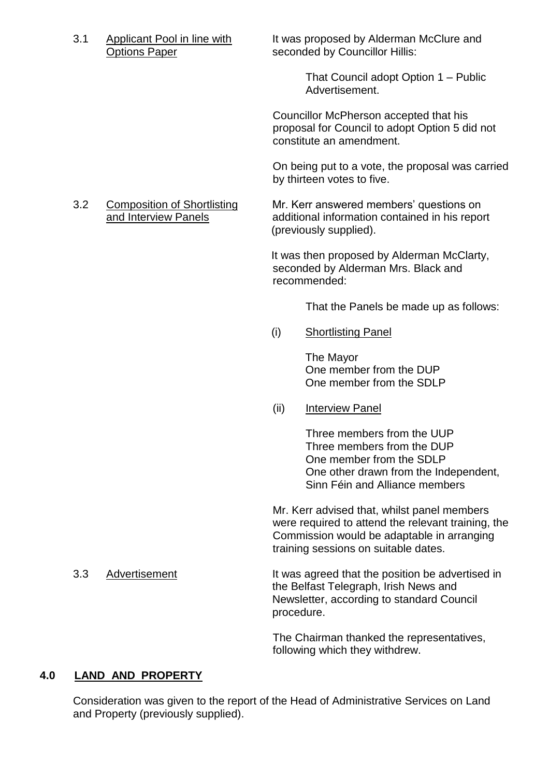3.1 Applicant Pool in line with It was proposed by Alderman McClure and Options Paper seconded by Councillor Hillis:

> That Council adopt Option 1 – Public Advertisement.

Councillor McPherson accepted that his proposal for Council to adopt Option 5 did not constitute an amendment.

On being put to a vote, the proposal was carried by thirteen votes to five.

3.2 Composition of Shortlisting Mr. Kerr answered members' questions on and Interview Panels additional information contained in his report (previously supplied).

> It was then proposed by Alderman McClarty, seconded by Alderman Mrs. Black and recommended:

> > That the Panels be made up as follows:

(i) Shortlisting Panel

The Mayor One member from the DUP One member from the SDLP

(ii) Interview Panel

Three members from the UUP Three members from the DUP One member from the SDLP One other drawn from the Independent, Sinn Féin and Alliance members

Mr. Kerr advised that, whilst panel members were required to attend the relevant training, the Commission would be adaptable in arranging training sessions on suitable dates.

3.3 Advertisement It was agreed that the position be advertised in the Belfast Telegraph, Irish News and Newsletter, according to standard Council procedure.

> The Chairman thanked the representatives, following which they withdrew.

# **4.0 LAND AND PROPERTY**

Consideration was given to the report of the Head of Administrative Services on Land and Property (previously supplied).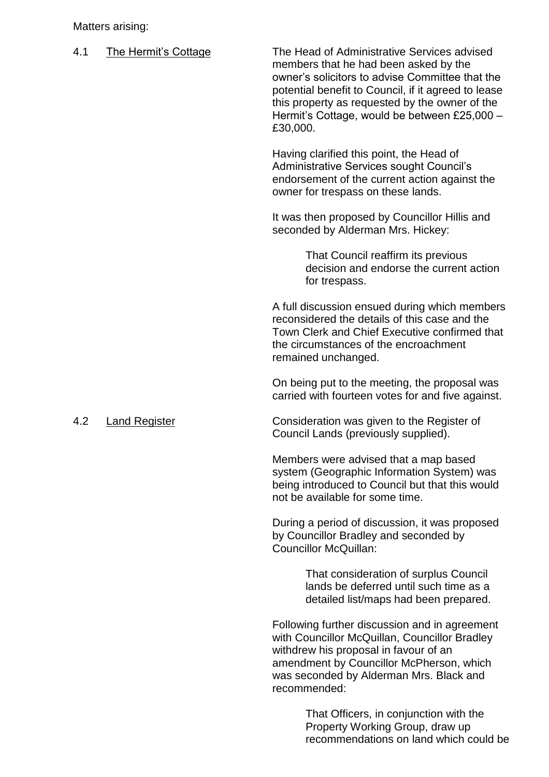Matters arising:

| 4.1 | <b>The Hermit's Cottage</b> | The Head of Administrative Services advised<br>members that he had been asked by the<br>owner's solicitors to advise Committee that the<br>potential benefit to Council, if it agreed to lease<br>this property as requested by the owner of the<br>Hermit's Cottage, would be between £25,000 -<br>£30,000. |
|-----|-----------------------------|--------------------------------------------------------------------------------------------------------------------------------------------------------------------------------------------------------------------------------------------------------------------------------------------------------------|
|     |                             | Having clarified this point, the Head of<br>Administrative Services sought Council's<br>endorsement of the current action against the<br>owner for trespass on these lands.                                                                                                                                  |
|     |                             | It was then proposed by Councillor Hillis and<br>seconded by Alderman Mrs. Hickey:                                                                                                                                                                                                                           |
|     |                             | That Council reaffirm its previous<br>decision and endorse the current action<br>for trespass.                                                                                                                                                                                                               |
|     |                             | A full discussion ensued during which members<br>reconsidered the details of this case and the<br>Town Clerk and Chief Executive confirmed that<br>the circumstances of the encroachment<br>remained unchanged.                                                                                              |
|     |                             | On being put to the meeting, the proposal was<br>carried with fourteen votes for and five against.                                                                                                                                                                                                           |
| 4.2 | <b>Land Register</b>        | Consideration was given to the Register of<br>Council Lands (previously supplied).                                                                                                                                                                                                                           |
|     |                             | Members were advised that a map based<br>system (Geographic Information System) was<br>being introduced to Council but that this would<br>not be available for some time.                                                                                                                                    |
|     |                             | During a period of discussion, it was proposed                                                                                                                                                                                                                                                               |

by Councillor Bradley and seconded by Councillor McQuillan:

> That consideration of surplus Council lands be deferred until such time as a detailed list/maps had been prepared.

Following further discussion and in agreement with Councillor McQuillan, Councillor Bradley withdrew his proposal in favour of an amendment by Councillor McPherson, which was seconded by Alderman Mrs. Black and recommended:

> That Officers, in conjunction with the Property Working Group, draw up recommendations on land which could be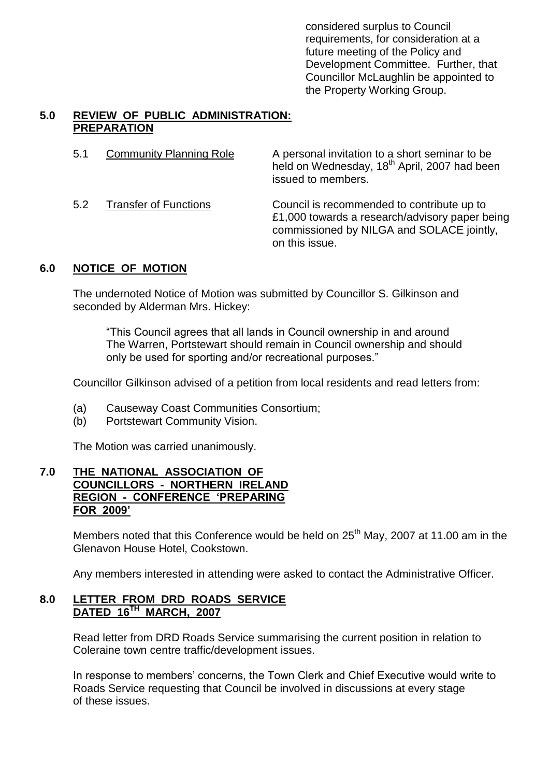considered surplus to Council requirements, for consideration at a future meeting of the Policy and Development Committee. Further, that Councillor McLaughlin be appointed to the Property Working Group.

# **5.0 REVIEW OF PUBLIC ADMINISTRATION: PREPARATION**

| 5.1 | <b>Community Planning Role</b> | A personal invitation to a short seminar to be<br>held on Wednesday, 18 <sup>th</sup> April, 2007 had been<br>issued to members.                            |
|-----|--------------------------------|-------------------------------------------------------------------------------------------------------------------------------------------------------------|
| 5.2 | <b>Transfer of Functions</b>   | Council is recommended to contribute up to<br>£1,000 towards a research/advisory paper being<br>commissioned by NILGA and SOLACE jointly,<br>on this issue. |

# **6.0 NOTICE OF MOTION**

The undernoted Notice of Motion was submitted by Councillor S. Gilkinson and seconded by Alderman Mrs. Hickey:

"This Council agrees that all lands in Council ownership in and around The Warren, Portstewart should remain in Council ownership and should only be used for sporting and/or recreational purposes."

Councillor Gilkinson advised of a petition from local residents and read letters from:

- (a) Causeway Coast Communities Consortium;
- (b) Portstewart Community Vision.

The Motion was carried unanimously.

#### **7.0 THE NATIONAL ASSOCIATION OF COUNCILLORS - NORTHERN IRELAND REGION - CONFERENCE 'PREPARING FOR 2009'**

Members noted that this Conference would be held on  $25<sup>th</sup>$  May, 2007 at 11.00 am in the Glenavon House Hotel, Cookstown.

Any members interested in attending were asked to contact the Administrative Officer.

#### **8.0 LETTER FROM DRD ROADS SERVICE DATED 16TH MARCH, 2007**

Read letter from DRD Roads Service summarising the current position in relation to Coleraine town centre traffic/development issues.

In response to members' concerns, the Town Clerk and Chief Executive would write to Roads Service requesting that Council be involved in discussions at every stage of these issues.